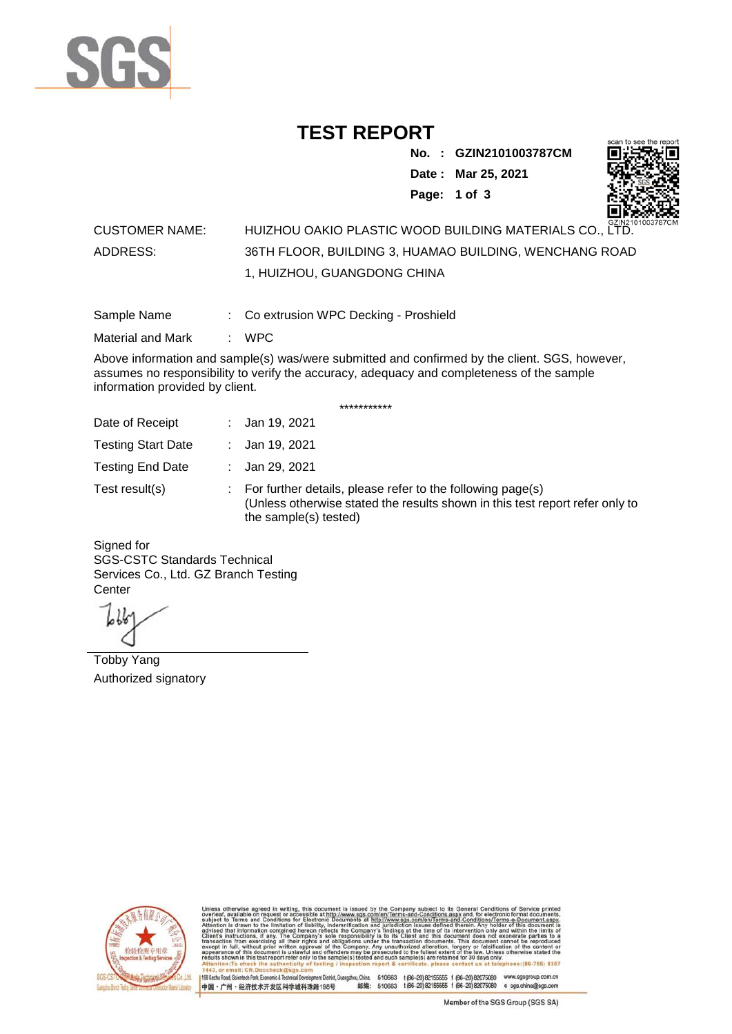

## **TEST REPORT**

**No. : GZIN2101003787CM Date : Mar 25, 2021**

**Page: 1 of 3** 



## CUSTOMER NAME: HUIZHOU OAKIO PLASTIC WOOD BUILDING MATERIALS CO., LTD. ADDRESS: 36TH FLOOR, BUILDING 3, HUAMAO BUILDING, WENCHANG ROAD 1, HUIZHOU, GUANGDONG CHINA

Sample Name : Co extrusion WPC Decking - Proshield

Material and Mark : WPC

Above information and sample(s) was/were submitted and confirmed by the client. SGS, however, assumes no responsibility to verify the accuracy, adequacy and completeness of the sample information provided by client.

\*\*\*\*\*\*\*\*\*\*\*

| Date of Receipt           | : Jan 19, 2021                                                                                                                                                        |
|---------------------------|-----------------------------------------------------------------------------------------------------------------------------------------------------------------------|
| <b>Testing Start Date</b> | : Jan 19, 2021                                                                                                                                                        |
| <b>Testing End Date</b>   | : Jan 29, 2021                                                                                                                                                        |
| Test result(s)            | : For further details, please refer to the following page(s)<br>(Unless otherwise stated the results shown in this test report refer only to<br>the sample(s) tested) |

Signed for SGS-CSTC Standards Technical Services Co., Ltd. GZ Branch Testing **Center** 

Tobby Yang Authorized signatory



510663 t(86-20) 82155555 f (86-20) 82075080 www.sgsgroup.com.cn<br>510663 t(86-20) 82155555 f (86-20) 82075080 e sgs.china@sgs.com 198 Kezhu Road, Scientech Park, Eco nomic & Technical Devel tou, China. ant District C 邮编: 中国·广州·经济技术开发区科学城科珠路198号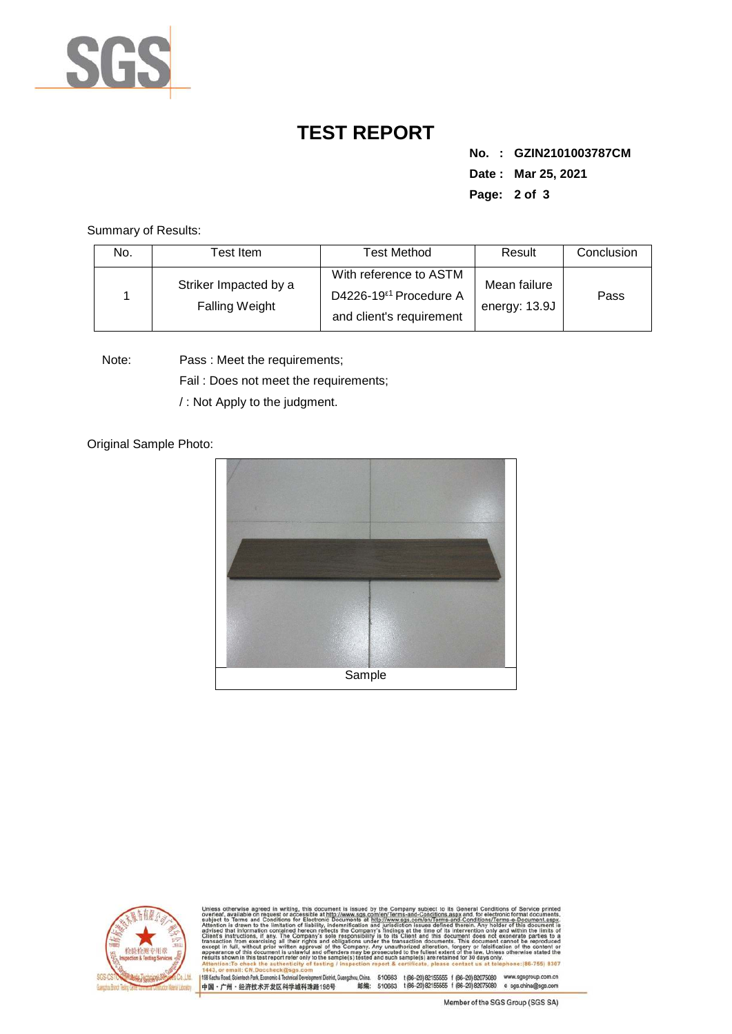

## **TEST REPORT**

**No. : GZIN2101003787CM Date : Mar 25, 2021 Page: 2 of 3** 

Summary of Results:

| No. | Test Item                                      | <b>Test Method</b>                                                                       | Result                        | Conclusion |
|-----|------------------------------------------------|------------------------------------------------------------------------------------------|-------------------------------|------------|
|     | Striker Impacted by a<br><b>Falling Weight</b> | With reference to ASTM<br>D4226-19 <sup>ε1</sup> Procedure A<br>and client's requirement | Mean failure<br>energy: 13.9J | Pass       |

Note: Pass : Meet the requirements;

Fail : Does not meet the requirements;

/ : Not Apply to the judgment.

Original Sample Photo:





Conditions/Terms-e-Do<br>rein. Any holder of this 8307 mentDistrict,Guangzhou,China. 510663 t (86-20) 82155555 f (86-20) 82075080 www.sgsgroup.com.cn<br>踏198号 t(66-20) 82155555 f (86-20) 82075080 e sgs.china@sgs.com 198 Kezhu Road, Scientech Park, Economic & Technical Develop 中国·广州·经济技术开发区科学城科珠路198号